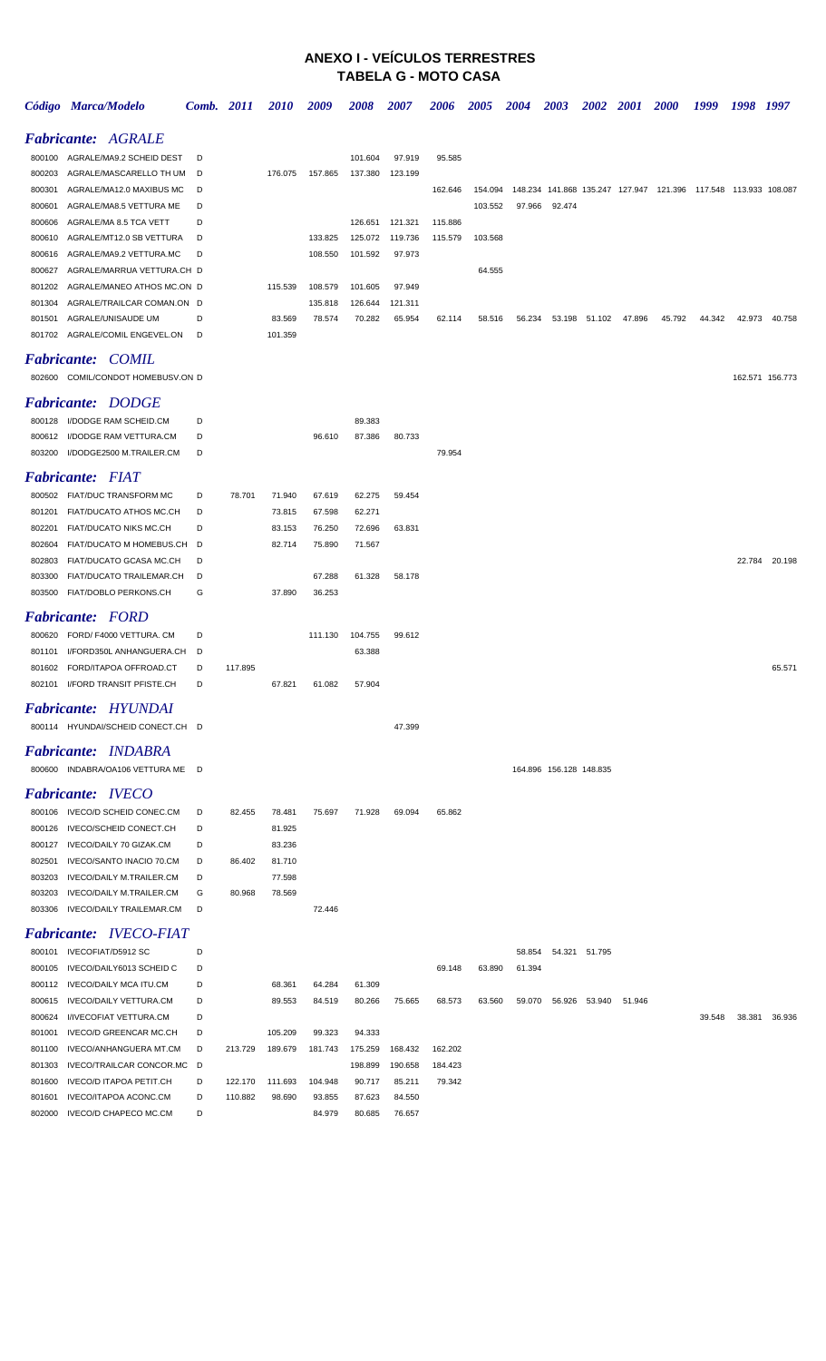## **ANEXO I - VEÍCULOS TERRESTRES TABELA G - MOTO CASA**

|        | Código Marca/Modelo               | Comb. 2011 |         | <i>2010</i> | 2009    | 2008    | <i><b>2007</b></i> | 2006    | <i><b>2005</b></i> | 2004   | 2003                    | 2002          | <i>2001</i> | <i><b>2000</b></i>                                                              | 1999   | 1998   | 1997            |
|--------|-----------------------------------|------------|---------|-------------|---------|---------|--------------------|---------|--------------------|--------|-------------------------|---------------|-------------|---------------------------------------------------------------------------------|--------|--------|-----------------|
|        | <b>Fabricante: AGRALE</b>         |            |         |             |         |         |                    |         |                    |        |                         |               |             |                                                                                 |        |        |                 |
|        | 800100 AGRALE/MA9.2 SCHEID DEST   | D          |         |             |         | 101.604 | 97.919             | 95.585  |                    |        |                         |               |             |                                                                                 |        |        |                 |
| 800203 | AGRALE/MASCARELLO TH UM           | D          |         | 176.075     | 157.865 | 137.380 | 123.199            |         |                    |        |                         |               |             |                                                                                 |        |        |                 |
| 800301 | AGRALE/MA12.0 MAXIBUS MC          | D          |         |             |         |         |                    | 162.646 |                    |        |                         |               |             | 154.094  148.234  141.868  135.247  127.947  121.396  117.548  113.933  108.087 |        |        |                 |
| 800601 | AGRALE/MA8.5 VETTURA ME           | D          |         |             |         |         |                    |         | 103.552            | 97.966 | 92.474                  |               |             |                                                                                 |        |        |                 |
| 800606 | AGRALE/MA 8.5 TCA VETT            | D          |         |             |         | 126.651 | 121.321            | 115.886 |                    |        |                         |               |             |                                                                                 |        |        |                 |
| 800610 | AGRALE/MT12.0 SB VETTURA          | D          |         |             | 133.825 | 125.072 | 119.736            | 115.579 | 103.568            |        |                         |               |             |                                                                                 |        |        |                 |
| 800616 | AGRALE/MA9.2 VETTURA.MC           | D          |         |             | 108.550 | 101.592 | 97.973             |         |                    |        |                         |               |             |                                                                                 |        |        |                 |
| 800627 | AGRALE/MARRUA VETTURA.CH D        |            |         |             |         |         |                    |         | 64.555             |        |                         |               |             |                                                                                 |        |        |                 |
| 801202 | AGRALE/MANEO ATHOS MC.ON D        |            |         | 115.539     | 108.579 | 101.605 | 97.949             |         |                    |        |                         |               |             |                                                                                 |        |        |                 |
| 801304 | AGRALE/TRAILCAR COMAN.ON D        |            |         |             | 135.818 | 126.644 | 121.311            |         |                    |        |                         |               |             |                                                                                 |        |        |                 |
|        | 801501 AGRALE/UNISAUDE UM         | D          |         | 83.569      | 78.574  | 70.282  | 65.954             | 62.114  | 58.516             | 56.234 |                         | 53.198 51.102 | 47.896      | 45.792                                                                          | 44.342 | 42.973 | 40.758          |
|        | 801702 AGRALE/COMIL ENGEVEL.ON    | D          |         | 101.359     |         |         |                    |         |                    |        |                         |               |             |                                                                                 |        |        |                 |
|        | <b>Fabricante: COMIL</b>          |            |         |             |         |         |                    |         |                    |        |                         |               |             |                                                                                 |        |        |                 |
|        | 802600 COMIL/CONDOT HOMEBUSV.ON D |            |         |             |         |         |                    |         |                    |        |                         |               |             |                                                                                 |        |        | 162.571 156.773 |
|        | <b>Fabricante: DODGE</b>          |            |         |             |         |         |                    |         |                    |        |                         |               |             |                                                                                 |        |        |                 |
| 800128 | I/DODGE RAM SCHEID.CM             | D          |         |             |         | 89.383  |                    |         |                    |        |                         |               |             |                                                                                 |        |        |                 |
| 800612 | I/DODGE RAM VETTURA.CM            | D          |         |             | 96.610  | 87.386  | 80.733             |         |                    |        |                         |               |             |                                                                                 |        |        |                 |
| 803200 | I/DODGE2500 M.TRAILER.CM          | D          |         |             |         |         |                    | 79.954  |                    |        |                         |               |             |                                                                                 |        |        |                 |
|        | <b>Fabricante: FIAT</b>           |            |         |             |         |         |                    |         |                    |        |                         |               |             |                                                                                 |        |        |                 |
|        | 800502 FIAT/DUC TRANSFORM MC      | D          | 78.701  | 71.940      | 67.619  | 62.275  | 59.454             |         |                    |        |                         |               |             |                                                                                 |        |        |                 |
| 801201 | FIAT/DUCATO ATHOS MC.CH           | D          |         | 73.815      | 67.598  | 62.271  |                    |         |                    |        |                         |               |             |                                                                                 |        |        |                 |
| 802201 | FIAT/DUCATO NIKS MC.CH            | D          |         | 83.153      | 76.250  | 72.696  | 63.831             |         |                    |        |                         |               |             |                                                                                 |        |        |                 |
| 802604 | FIAT/DUCATO M HOMEBUS.CH          | D          |         | 82.714      | 75.890  | 71.567  |                    |         |                    |        |                         |               |             |                                                                                 |        |        |                 |
| 802803 | FIAT/DUCATO GCASA MC.CH           | D          |         |             |         |         |                    |         |                    |        |                         |               |             |                                                                                 |        |        | 22.784 20.198   |
| 803300 | FIAT/DUCATO TRAILEMAR.CH          | D          |         |             | 67.288  | 61.328  | 58.178             |         |                    |        |                         |               |             |                                                                                 |        |        |                 |
| 803500 | FIAT/DOBLO PERKONS.CH             | G          |         | 37.890      | 36.253  |         |                    |         |                    |        |                         |               |             |                                                                                 |        |        |                 |
|        | <b>Fabricante: FORD</b>           |            |         |             |         |         |                    |         |                    |        |                         |               |             |                                                                                 |        |        |                 |
| 800620 | FORD/ F4000 VETTURA. CM           | D          |         |             | 111.130 | 104.755 | 99.612             |         |                    |        |                         |               |             |                                                                                 |        |        |                 |
| 801101 | I/FORD350L ANHANGUERA.CH          | D          |         |             |         | 63.388  |                    |         |                    |        |                         |               |             |                                                                                 |        |        |                 |
| 801602 | FORD/ITAPOA OFFROAD.CT            | D          | 117.895 |             |         |         |                    |         |                    |        |                         |               |             |                                                                                 |        |        | 65.571          |
|        | 802101 I/FORD TRANSIT PFISTE.CH   | D          |         | 67.821      | 61.082  | 57.904  |                    |         |                    |        |                         |               |             |                                                                                 |        |        |                 |
|        | <b>Fabricante: HYUNDAI</b>        |            |         |             |         |         |                    |         |                    |        |                         |               |             |                                                                                 |        |        |                 |
|        | 800114 HYUNDAI/SCHEID CONECT.CH D |            |         |             |         |         | 47.399             |         |                    |        |                         |               |             |                                                                                 |        |        |                 |
|        | <b>Fabricante: INDABRA</b>        |            |         |             |         |         |                    |         |                    |        |                         |               |             |                                                                                 |        |        |                 |
|        | 800600 INDABRA/OA106 VETTURA ME D |            |         |             |         |         |                    |         |                    |        | 164.896 156.128 148.835 |               |             |                                                                                 |        |        |                 |
|        | <b>Fabricante: IVECO</b>          |            |         |             |         |         |                    |         |                    |        |                         |               |             |                                                                                 |        |        |                 |
|        | 800106 IVECO/D SCHEID CONEC.CM    | D          | 82.455  | 78.481      | 75.697  | 71.928  | 69.094             | 65.862  |                    |        |                         |               |             |                                                                                 |        |        |                 |
| 800126 | IVECO/SCHEID CONECT.CH            | D          |         | 81.925      |         |         |                    |         |                    |        |                         |               |             |                                                                                 |        |        |                 |
| 800127 | IVECO/DAILY 70 GIZAK.CM           | D          |         | 83.236      |         |         |                    |         |                    |        |                         |               |             |                                                                                 |        |        |                 |
| 802501 | IVECO/SANTO INACIO 70.CM          | D          | 86.402  | 81.710      |         |         |                    |         |                    |        |                         |               |             |                                                                                 |        |        |                 |
| 803203 | IVECO/DAILY M.TRAILER.CM          | D          |         | 77.598      |         |         |                    |         |                    |        |                         |               |             |                                                                                 |        |        |                 |
| 803203 | IVECO/DAILY M.TRAILER.CM          | G          | 80.968  | 78.569      |         |         |                    |         |                    |        |                         |               |             |                                                                                 |        |        |                 |
| 803306 | IVECO/DAILY TRAILEMAR.CM          | D          |         |             | 72.446  |         |                    |         |                    |        |                         |               |             |                                                                                 |        |        |                 |
|        | <b>Fabricante: IVECO-FIAT</b>     |            |         |             |         |         |                    |         |                    |        |                         |               |             |                                                                                 |        |        |                 |
|        | 800101 IVECOFIAT/D5912 SC         | D          |         |             |         |         |                    |         |                    | 58.854 | 54.321                  | 51.795        |             |                                                                                 |        |        |                 |
| 800105 | IVECO/DAILY6013 SCHEID C          | D          |         |             |         |         |                    | 69.148  | 63.890             | 61.394 |                         |               |             |                                                                                 |        |        |                 |
| 800112 | IVECO/DAILY MCA ITU.CM            | D          |         | 68.361      | 64.284  | 61.309  |                    |         |                    |        |                         |               |             |                                                                                 |        |        |                 |
| 800615 | IVECO/DAILY VETTURA.CM            | D          |         | 89.553      | 84.519  | 80.266  | 75.665             | 68.573  | 63.560             | 59.070 | 56.926                  | 53.940        | 51.946      |                                                                                 |        |        |                 |
| 800624 | I/IVECOFIAT VETTURA.CM            | D          |         |             |         |         |                    |         |                    |        |                         |               |             |                                                                                 | 39.548 | 38.381 | 36.936          |
| 801001 | <b>IVECO/D GREENCAR MC.CH</b>     | D          |         | 105.209     | 99.323  | 94.333  |                    |         |                    |        |                         |               |             |                                                                                 |        |        |                 |
| 801100 | IVECO/ANHANGUERA MT.CM            | D          | 213.729 | 189.679     | 181.743 | 175.259 | 168.432            | 162.202 |                    |        |                         |               |             |                                                                                 |        |        |                 |
| 801303 | IVECO/TRAILCAR CONCOR.MC          | D          |         |             |         | 198.899 | 190.658            | 184.423 |                    |        |                         |               |             |                                                                                 |        |        |                 |
| 801600 | IVECO/D ITAPOA PETIT.CH           | D          | 122.170 | 111.693     | 104.948 | 90.717  | 85.211             | 79.342  |                    |        |                         |               |             |                                                                                 |        |        |                 |
| 801601 | IVECO/ITAPOA ACONC.CM             | D          | 110.882 | 98.690      | 93.855  | 87.623  | 84.550             |         |                    |        |                         |               |             |                                                                                 |        |        |                 |
| 802000 | IVECO/D CHAPECO MC.CM             | D          |         |             | 84.979  | 80.685  | 76.657             |         |                    |        |                         |               |             |                                                                                 |        |        |                 |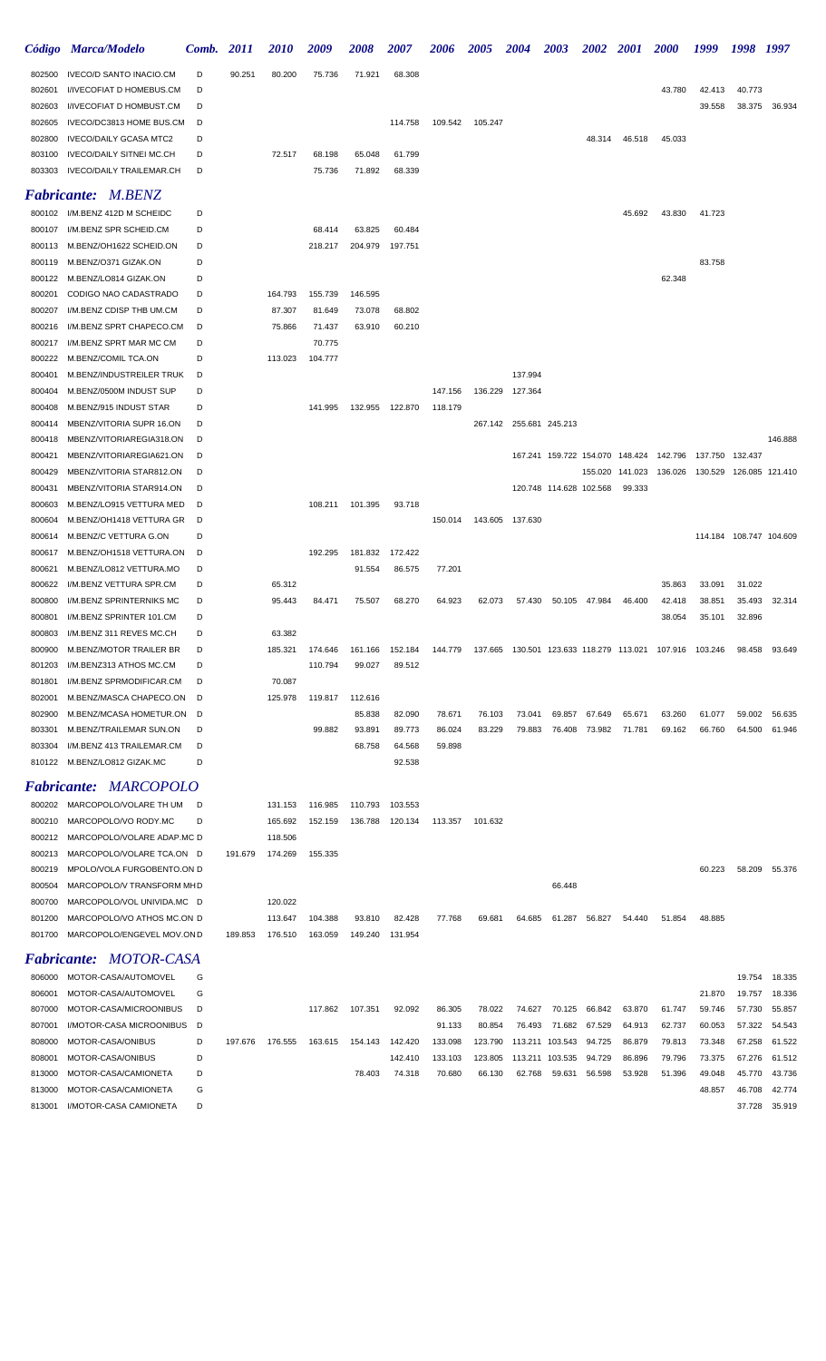|                  | Código Marca/Modelo                                  | Comb.  | <i>2011</i> | <i><b>2010</b></i> | 2009             | <i><b>2008</b></i> | <i><b>2007</b></i> | <i><b>2006</b></i> | <i><b>2005</b></i> | 2004                    | 2003                            | 2002   | <i>2001</i>      | <i>2000</i>                             | 1999             | 1998                    | 1997             |
|------------------|------------------------------------------------------|--------|-------------|--------------------|------------------|--------------------|--------------------|--------------------|--------------------|-------------------------|---------------------------------|--------|------------------|-----------------------------------------|------------------|-------------------------|------------------|
| 802500           | <b>IVECO/D SANTO INACIO.CM</b>                       | D      | 90.251      | 80.200             | 75.736           | 71.921             | 68.308             |                    |                    |                         |                                 |        |                  |                                         |                  |                         |                  |
| 802601           | I/IVECOFIAT D HOMEBUS.CM                             | D      |             |                    |                  |                    |                    |                    |                    |                         |                                 |        |                  | 43.780                                  | 42.413           | 40.773                  |                  |
| 802603           | I/IVECOFIAT D HOMBUST.CM                             | D      |             |                    |                  |                    |                    |                    |                    |                         |                                 |        |                  |                                         | 39.558           | 38.375                  | 36.934           |
| 802605           | IVECO/DC3813 HOME BUS.CM                             | D      |             |                    |                  |                    | 114.758            | 109.542            | 105.247            |                         |                                 |        |                  |                                         |                  |                         |                  |
| 802800           | <b>IVECO/DAILY GCASA MTC2</b>                        | D      |             |                    |                  |                    |                    |                    |                    |                         |                                 | 48.314 | 46.518           | 45.033                                  |                  |                         |                  |
| 803100           | <b>IVECO/DAILY SITNEI MC.CH</b>                      | D      |             | 72.517             | 68.198           | 65.048             | 61.799             |                    |                    |                         |                                 |        |                  |                                         |                  |                         |                  |
| 803303           | IVECO/DAILY TRAILEMAR.CH                             | D      |             |                    | 75.736           | 71.892             | 68.339             |                    |                    |                         |                                 |        |                  |                                         |                  |                         |                  |
|                  | <b>Fabricante: M.BENZ</b>                            |        |             |                    |                  |                    |                    |                    |                    |                         |                                 |        |                  |                                         |                  |                         |                  |
|                  | 800102 I/M.BENZ 412D M SCHEIDC                       | D      |             |                    |                  |                    |                    |                    |                    |                         |                                 |        | 45.692           | 43.830                                  | 41.723           |                         |                  |
| 800107           | I/M.BENZ SPR SCHEID.CM                               | D      |             |                    | 68.414           | 63.825             | 60.484             |                    |                    |                         |                                 |        |                  |                                         |                  |                         |                  |
| 800113           | M.BENZ/OH1622 SCHEID.ON                              | D      |             |                    | 218.217          | 204.979            | 197.751            |                    |                    |                         |                                 |        |                  |                                         |                  |                         |                  |
| 800119           | M.BENZ/O371 GIZAK.ON                                 | D      |             |                    |                  |                    |                    |                    |                    |                         |                                 |        |                  |                                         | 83.758           |                         |                  |
| 800122           | M.BENZ/LO814 GIZAK.ON                                | D      |             |                    |                  |                    |                    |                    |                    |                         |                                 |        |                  | 62.348                                  |                  |                         |                  |
| 800201           | CODIGO NAO CADASTRADO                                | D      |             | 164.793            | 155.739          | 146.595            |                    |                    |                    |                         |                                 |        |                  |                                         |                  |                         |                  |
| 800207           | I/M.BENZ CDISP THB UM.CM<br>I/M.BENZ SPRT CHAPECO.CM | D<br>D |             | 87.307             | 81.649           | 73.078             | 68.802             |                    |                    |                         |                                 |        |                  |                                         |                  |                         |                  |
| 800216<br>800217 | I/M.BENZ SPRT MAR MC CM                              | D      |             | 75.866             | 71.437<br>70.775 | 63.910             | 60.210             |                    |                    |                         |                                 |        |                  |                                         |                  |                         |                  |
| 800222           | M.BENZ/COMIL TCA.ON                                  | D      |             | 113.023            | 104.777          |                    |                    |                    |                    |                         |                                 |        |                  |                                         |                  |                         |                  |
| 800401           | M.BENZ/INDUSTREILER TRUK                             | D      |             |                    |                  |                    |                    |                    |                    | 137.994                 |                                 |        |                  |                                         |                  |                         |                  |
| 800404           | M.BENZ/0500M INDUST SUP                              | D      |             |                    |                  |                    |                    | 147.156            | 136.229            | 127.364                 |                                 |        |                  |                                         |                  |                         |                  |
| 800408           | M.BENZ/915 INDUST STAR                               | D      |             |                    | 141.995          |                    | 132.955 122.870    | 118.179            |                    |                         |                                 |        |                  |                                         |                  |                         |                  |
| 800414           | MBENZ/VITORIA SUPR 16.ON                             | D      |             |                    |                  |                    |                    |                    |                    | 267.142 255.681 245.213 |                                 |        |                  |                                         |                  |                         |                  |
| 800418           | MBENZ/VITORIAREGIA318.ON                             | D      |             |                    |                  |                    |                    |                    |                    |                         |                                 |        |                  |                                         |                  |                         | 146.888          |
| 800421           | MBENZ/VITORIAREGIA621.ON                             | D      |             |                    |                  |                    |                    |                    |                    |                         | 167.241 159.722 154.070 148.424 |        |                  | 142.796                                 | 137.750          | 132.437                 |                  |
| 800429           | MBENZ/VITORIA STAR812.ON                             | D      |             |                    |                  |                    |                    |                    |                    |                         |                                 |        | 155.020 141.023  | 136.026  130.529  126.085  121.410      |                  |                         |                  |
| 800431           | MBENZ/VITORIA STAR914.ON                             | D      |             |                    |                  |                    |                    |                    |                    |                         | 120.748 114.628 102.568         |        | 99.333           |                                         |                  |                         |                  |
| 800603           | M.BENZ/LO915 VETTURA MED                             | D      |             |                    | 108.211          | 101.395            | 93.718             |                    |                    |                         |                                 |        |                  |                                         |                  |                         |                  |
| 800604           | M.BENZ/OH1418 VETTURA GR                             | D      |             |                    |                  |                    |                    | 150.014            |                    | 143.605 137.630         |                                 |        |                  |                                         |                  |                         |                  |
| 800614           | M.BENZ/C VETTURA G.ON                                | D      |             |                    |                  |                    |                    |                    |                    |                         |                                 |        |                  |                                         |                  | 114.184 108.747 104.609 |                  |
| 800617           | M.BENZ/OH1518 VETTURA.ON                             | D      |             |                    | 192.295          | 181.832            | 172.422            |                    |                    |                         |                                 |        |                  |                                         |                  |                         |                  |
| 800621           | M.BENZ/LO812 VETTURA.MO                              | D      |             |                    |                  | 91.554             | 86.575             | 77.201             |                    |                         |                                 |        |                  |                                         |                  |                         |                  |
| 800622<br>800800 | I/M.BENZ VETTURA SPR.CM<br>I/M.BENZ SPRINTERNIKS MC  | D<br>D |             | 65.312<br>95.443   |                  | 75.507             | 68.270             | 64.923             | 62.073             | 57.430                  | 50.105                          | 47.984 | 46.400           | 35.863                                  | 33.091<br>38.851 | 31.022<br>35.493        | 32.314           |
| 800801           | I/M.BENZ SPRINTER 101.CM                             | D      |             |                    | 84.471           |                    |                    |                    |                    |                         |                                 |        |                  | 42.418<br>38.054                        | 35.101           | 32.896                  |                  |
|                  | 800803 I/M.BENZ 311 REVES MC.CH                      | D      |             | 63.382             |                  |                    |                    |                    |                    |                         |                                 |        |                  |                                         |                  |                         |                  |
| 800900           | M.BENZ/MOTOR TRAILER BR                              | D      |             | 185.321            | 174.646          | 161.166            | 152.184            | 144.779            | 137.665            |                         |                                 |        |                  | 130.501 123.633 118.279 113.021 107.916 | 103.246          | 98.458                  | 93.649           |
| 801203           | I/M.BENZ313 ATHOS MC.CM                              | D      |             |                    | 110.794          | 99.027             | 89.512             |                    |                    |                         |                                 |        |                  |                                         |                  |                         |                  |
| 801801           | I/M.BENZ SPRMODIFICAR.CM                             | D      |             | 70.087             |                  |                    |                    |                    |                    |                         |                                 |        |                  |                                         |                  |                         |                  |
| 802001           | M.BENZ/MASCA CHAPECO.ON                              | D      |             | 125.978            | 119.817          | 112.616            |                    |                    |                    |                         |                                 |        |                  |                                         |                  |                         |                  |
| 802900           | M.BENZ/MCASA HOMETUR.ON                              | D      |             |                    |                  | 85.838             | 82.090             | 78.671             | 76.103             | 73.041                  | 69.857                          | 67.649 | 65.671           | 63.260                                  | 61.077           | 59.002                  | 56.635           |
| 803301           | M.BENZ/TRAILEMAR SUN.ON                              | D      |             |                    | 99.882           | 93.891             | 89.773             | 86.024             | 83.229             | 79.883                  | 76.408                          | 73.982 | 71.781           | 69.162                                  | 66.760           | 64.500                  | 61.946           |
| 803304           | I/M.BENZ 413 TRAILEMAR.CM                            | D      |             |                    |                  | 68.758             | 64.568             | 59.898             |                    |                         |                                 |        |                  |                                         |                  |                         |                  |
|                  | 810122 M.BENZ/LO812 GIZAK.MC                         | D      |             |                    |                  |                    | 92.538             |                    |                    |                         |                                 |        |                  |                                         |                  |                         |                  |
|                  | <b>Fabricante: MARCOPOLO</b>                         |        |             |                    |                  |                    |                    |                    |                    |                         |                                 |        |                  |                                         |                  |                         |                  |
| 800202           | MARCOPOLO/VOLARE TH UM                               | D      |             | 131.153            | 116.985          | 110.793            | 103.553            |                    |                    |                         |                                 |        |                  |                                         |                  |                         |                  |
| 800210           | MARCOPOLO/VO RODY.MC                                 | D      |             | 165.692            | 152.159          | 136.788            | 120.134            | 113.357            | 101.632            |                         |                                 |        |                  |                                         |                  |                         |                  |
| 800212           | MARCOPOLO/VOLARE ADAP.MC D                           |        |             | 118.506            |                  |                    |                    |                    |                    |                         |                                 |        |                  |                                         |                  |                         |                  |
| 800213           | MARCOPOLO/VOLARE TCA.ON D                            |        | 191.679     | 174.269            | 155.335          |                    |                    |                    |                    |                         |                                 |        |                  |                                         |                  |                         |                  |
| 800219           | MPOLO/VOLA FURGOBENTO.ON D                           |        |             |                    |                  |                    |                    |                    |                    |                         |                                 |        |                  |                                         | 60.223           |                         | 58.209 55.376    |
| 800504           | MARCOPOLO/V TRANSFORM MHD                            |        |             |                    |                  |                    |                    |                    |                    |                         | 66.448                          |        |                  |                                         |                  |                         |                  |
| 800700           | MARCOPOLO/VOL UNIVIDA.MC D                           |        |             | 120.022            |                  |                    |                    |                    |                    |                         |                                 |        |                  |                                         |                  |                         |                  |
| 801200           | MARCOPOLO/VO ATHOS MC.ON D                           |        |             | 113.647            | 104.388          | 93.810             | 82.428             | 77.768             | 69.681             | 64.685                  | 61.287                          | 56.827 | 54.440           | 51.854                                  | 48.885           |                         |                  |
| 801700           | MARCOPOLO/ENGEVEL MOV.OND                            |        | 189.853     | 176.510            | 163.059          | 149.240            | 131.954            |                    |                    |                         |                                 |        |                  |                                         |                  |                         |                  |
|                  | Fabricante: MOTOR-CASA                               |        |             |                    |                  |                    |                    |                    |                    |                         |                                 |        |                  |                                         |                  |                         |                  |
| 806000           | MOTOR-CASA/AUTOMOVEL                                 | G      |             |                    |                  |                    |                    |                    |                    |                         |                                 |        |                  |                                         |                  | 19.754                  | 18.335           |
| 806001           | MOTOR-CASA/AUTOMOVEL                                 | G      |             |                    |                  |                    |                    |                    |                    |                         |                                 |        |                  |                                         | 21.870           | 19.757                  | 18.336           |
| 807000           | MOTOR-CASA/MICROONIBUS                               | D      |             |                    | 117.862          | 107.351            | 92.092             | 86.305             | 78.022             | 74.627                  | 70.125                          | 66.842 | 63.870           | 61.747                                  | 59.746           | 57.730                  | 55.857           |
| 807001           | I/MOTOR-CASA MICROONIBUS                             | D      |             |                    |                  |                    |                    | 91.133             | 80.854             | 76.493                  | 71.682                          | 67.529 | 64.913           | 62.737                                  | 60.053           | 57.322                  | 54.543           |
| 808000           | MOTOR-CASA/ONIBUS                                    | D      | 197.676     | 176.555            | 163.615          | 154.143            | 142.420            | 133.098            | 123.790            |                         | 113.211 103.543                 | 94.725 | 86.879           | 79.813                                  | 73.348           | 67.258                  | 61.522           |
| 808001<br>813000 | MOTOR-CASA/ONIBUS<br>MOTOR-CASA/CAMIONETA            | D<br>D |             |                    |                  | 78.403             | 142.410            | 133.103<br>70.680  | 123.805<br>66.130  | 62.768                  | 113.211 103.535                 | 94.729 | 86.896<br>53.928 | 79.796<br>51.396                        | 73.375<br>49.048 | 67.276<br>45.770        | 61.512<br>43.736 |
|                  |                                                      |        |             |                    |                  |                    | 74.318             |                    |                    |                         | 59.631                          | 56.598 |                  |                                         |                  |                         |                  |

MOTOR-CASA/CAMIONETA G 48.857 46.708 42.774

I/MOTOR-CASA CAMIONETA D 37.728 35.919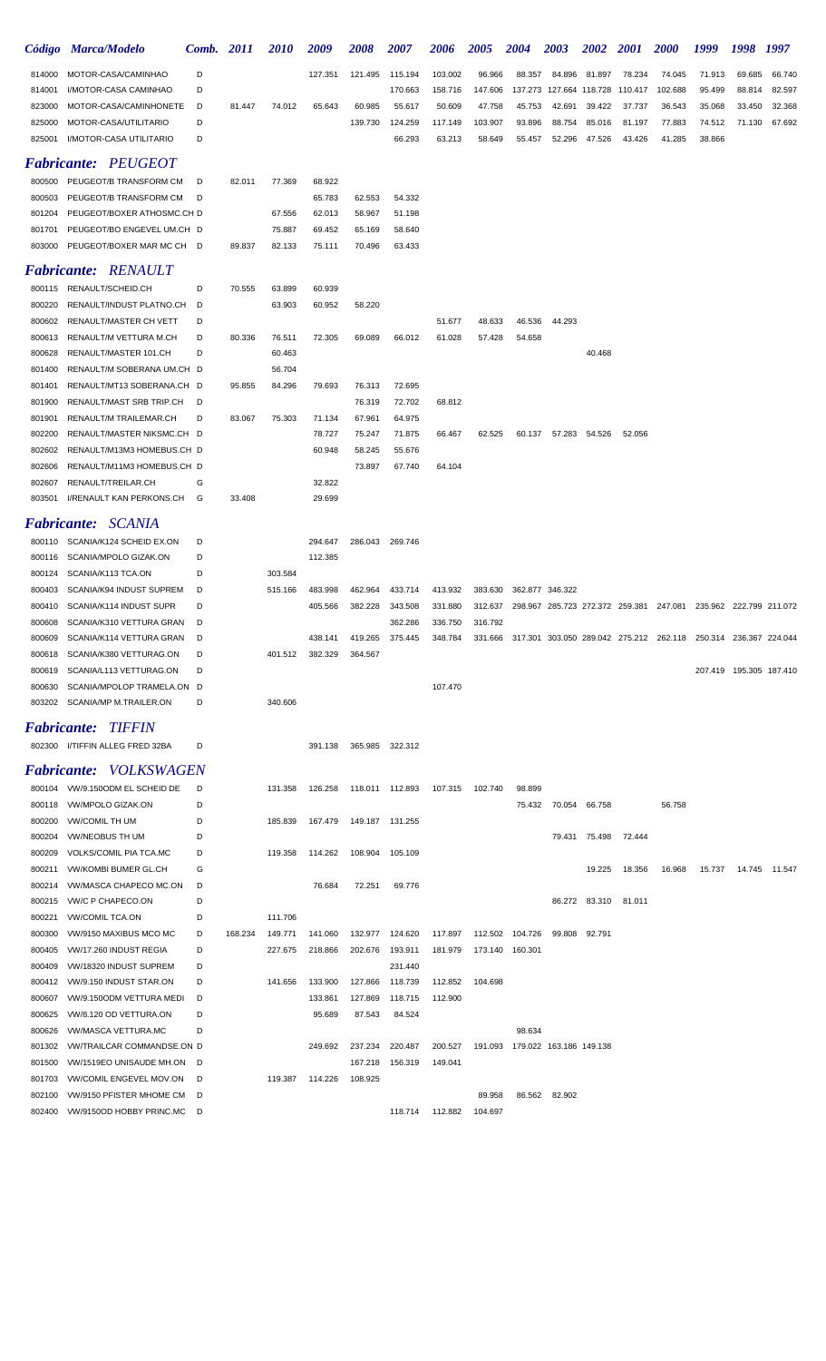|                           | Código Marca/Modelo                                  | Comb.  | 2011    | 2010    | 2009             | 2008             | <i><b>2007</b></i> | 2006    | <b>2005</b> | 2004                                                                    | 2003   | <b>2002</b>     | <b>2001</b> | <i><b>2000</b></i>                                              | 1999   | 1998                    | 1997          |
|---------------------------|------------------------------------------------------|--------|---------|---------|------------------|------------------|--------------------|---------|-------------|-------------------------------------------------------------------------|--------|-----------------|-------------|-----------------------------------------------------------------|--------|-------------------------|---------------|
| 814000                    | MOTOR-CASA/CAMINHAO                                  | D      |         |         | 127.351          | 121.495          | 115.194            | 103.002 | 96.966      | 88.357                                                                  | 84.896 | 81.897          | 78.234      | 74.045                                                          | 71.913 | 69.685                  | 66.740        |
| 814001                    | I/MOTOR-CASA CAMINHAO                                | D      |         |         |                  |                  | 170.663            | 158.716 | 147.606     | 137.273                                                                 |        | 127.664 118.728 | 110.417     | 102.688                                                         | 95.499 | 88.814                  | 82.597        |
| 823000                    | MOTOR-CASA/CAMINHONETE                               | D      | 81.447  | 74.012  | 65.643           | 60.985           | 55.617             | 50.609  | 47.758      | 45.753                                                                  | 42.691 | 39.422          | 37.737      | 36.543                                                          | 35.068 | 33.450                  | 32.368        |
| 825000                    | MOTOR-CASA/UTILITARIO                                | D      |         |         |                  | 139.730          | 124.259            | 117.149 | 103.907     | 93.896                                                                  | 88.754 | 85.016          | 81.197      | 77.883                                                          | 74.512 | 71.130                  | 67.692        |
| 825001                    | I/MOTOR-CASA UTILITARIO                              | D      |         |         |                  |                  | 66.293             | 63.213  | 58.649      | 55.457                                                                  | 52.296 | 47.526          | 43.426      | 41.285                                                          | 38.866 |                         |               |
|                           | <b>Fabricante: PEUGEOT</b>                           |        |         |         |                  |                  |                    |         |             |                                                                         |        |                 |             |                                                                 |        |                         |               |
| 800500                    | PEUGEOT/B TRANSFORM CM                               | D      | 82.011  | 77.369  | 68.922           |                  |                    |         |             |                                                                         |        |                 |             |                                                                 |        |                         |               |
| 800503                    | PEUGEOT/B TRANSFORM CM                               | D      |         |         | 65.783           | 62.553           | 54.332             |         |             |                                                                         |        |                 |             |                                                                 |        |                         |               |
| 801204                    | PEUGEOT/BOXER ATHOSMC.CH D                           |        |         | 67.556  | 62.013           | 58.967           | 51.198             |         |             |                                                                         |        |                 |             |                                                                 |        |                         |               |
| 801701                    | PEUGEOT/BO ENGEVEL UM.CH D                           |        |         | 75.887  | 69.452           | 65.169           | 58.640             |         |             |                                                                         |        |                 |             |                                                                 |        |                         |               |
| 803000                    | PEUGEOT/BOXER MAR MC CH D                            |        | 89.837  | 82.133  | 75.111           | 70.496           | 63.433             |         |             |                                                                         |        |                 |             |                                                                 |        |                         |               |
|                           | <b>Fabricante: RENAULT</b>                           |        |         |         |                  |                  |                    |         |             |                                                                         |        |                 |             |                                                                 |        |                         |               |
|                           | 800115 RENAULT/SCHEID.CH                             | D      | 70.555  | 63.899  | 60.939           |                  |                    |         |             |                                                                         |        |                 |             |                                                                 |        |                         |               |
| 800220                    | RENAULT/INDUST PLATNO.CH                             | D      |         | 63.903  | 60.952           | 58.220           |                    |         |             |                                                                         |        |                 |             |                                                                 |        |                         |               |
| 800602                    | RENAULT/MASTER CH VETT                               | D      |         |         |                  |                  |                    | 51.677  | 48.633      | 46.536                                                                  | 44.293 |                 |             |                                                                 |        |                         |               |
| 800613                    | RENAULT/M VETTURA M.CH                               | D      | 80.336  | 76.511  | 72.305           | 69.089           | 66.012             | 61.028  | 57.428      | 54.658                                                                  |        |                 |             |                                                                 |        |                         |               |
| 800628                    | RENAULT/MASTER 101.CH                                | D      |         | 60.463  |                  |                  |                    |         |             |                                                                         |        | 40.468          |             |                                                                 |        |                         |               |
| 801400                    | RENAULT/M SOBERANA UM.CH D                           |        |         | 56.704  |                  |                  |                    |         |             |                                                                         |        |                 |             |                                                                 |        |                         |               |
| 801401                    | RENAULT/MT13 SOBERANA.CH D                           |        | 95.855  | 84.296  | 79.693           | 76.313           | 72.695             |         |             |                                                                         |        |                 |             |                                                                 |        |                         |               |
| 801900                    | RENAULT/MAST SRB TRIP.CH                             | D      |         |         |                  | 76.319           | 72.702             | 68.812  |             |                                                                         |        |                 |             |                                                                 |        |                         |               |
| 801901<br>802200          | RENAULT/M TRAILEMAR.CH<br>RENAULT/MASTER NIKSMC.CH D | D      | 83.067  | 75.303  | 71.134<br>78.727 | 67.961<br>75.247 | 64.975<br>71.875   | 66.467  | 62.525      | 60.137                                                                  | 57.283 | 54.526          | 52.056      |                                                                 |        |                         |               |
| 802602                    | RENAULT/M13M3 HOMEBUS.CH D                           |        |         |         | 60.948           | 58.245           | 55.676             |         |             |                                                                         |        |                 |             |                                                                 |        |                         |               |
| 802606                    | RENAULT/M11M3 HOMEBUS.CH D                           |        |         |         |                  | 73.897           | 67.740             | 64.104  |             |                                                                         |        |                 |             |                                                                 |        |                         |               |
| 802607                    | RENAULT/TREILAR.CH                                   | G      |         |         | 32.822           |                  |                    |         |             |                                                                         |        |                 |             |                                                                 |        |                         |               |
| 803501                    | I/RENAULT KAN PERKONS.CH                             | G      | 33.408  |         | 29.699           |                  |                    |         |             |                                                                         |        |                 |             |                                                                 |        |                         |               |
|                           | <b>Fabricante:</b> SCANIA                            |        |         |         |                  |                  |                    |         |             |                                                                         |        |                 |             |                                                                 |        |                         |               |
|                           | 800110 SCANIA/K124 SCHEID EX.ON                      | D      |         |         | 294.647          | 286.043          | 269.746            |         |             |                                                                         |        |                 |             |                                                                 |        |                         |               |
| 800116                    | SCANIA/MPOLO GIZAK.ON                                | D      |         |         | 112.385          |                  |                    |         |             |                                                                         |        |                 |             |                                                                 |        |                         |               |
| 800124                    | SCANIA/K113 TCA.ON                                   | D      |         | 303.584 |                  |                  |                    |         |             |                                                                         |        |                 |             |                                                                 |        |                         |               |
| 800403                    | SCANIA/K94 INDUST SUPREM                             | D      |         | 515.166 | 483.998          | 462.964          | 433.714            | 413.932 | 383.630     | 362.877 346.322                                                         |        |                 |             |                                                                 |        |                         |               |
| 800410                    | SCANIA/K114 INDUST SUPR                              | D      |         |         | 405.566          | 382.228          | 343.508            | 331.880 | 312.637     |                                                                         |        |                 |             | 298.967 285.723 272.372 259.381 247.081 235.962 222.799 211.072 |        |                         |               |
| 800608                    | SCANIA/K310 VETTURA GRAN                             | D      |         |         |                  |                  | 362.286            | 336.750 | 316.792     |                                                                         |        |                 |             |                                                                 |        |                         |               |
| 800609                    | SCANIA/K114 VETTURA GRAN                             | D      |         |         | 438.141          | 419.265          | 375.445            | 348.784 |             | 331.666 317.301 303.050 289.042 275.212 262.118 250.314 236.367 224.044 |        |                 |             |                                                                 |        |                         |               |
| 800618                    | SCANIA/K380 VETTURAG.ON                              | D      |         |         | 401.512 382.329  | 364.567          |                    |         |             |                                                                         |        |                 |             |                                                                 |        |                         |               |
| 800619                    | SCANIA/L113 VETTURAG.ON                              | D      |         |         |                  |                  |                    |         |             |                                                                         |        |                 |             |                                                                 |        | 207.419 195.305 187.410 |               |
| 800630                    | SCANIA/MPOLOP TRAMELA.ON D                           |        |         |         |                  |                  |                    | 107.470 |             |                                                                         |        |                 |             |                                                                 |        |                         |               |
| 803202                    | SCANIA/MP M.TRAILER.ON                               | D      |         | 340.606 |                  |                  |                    |         |             |                                                                         |        |                 |             |                                                                 |        |                         |               |
|                           | <b>Fabricante: TIFFIN</b>                            |        |         |         |                  |                  |                    |         |             |                                                                         |        |                 |             |                                                                 |        |                         |               |
|                           | 802300 I/TIFFIN ALLEG FRED 32BA                      | D      |         |         | 391.138          |                  | 365.985 322.312    |         |             |                                                                         |        |                 |             |                                                                 |        |                         |               |
| <i><b>Fabricante:</b></i> | <i>VOLKSWAGEN</i>                                    |        |         |         |                  |                  |                    |         |             |                                                                         |        |                 |             |                                                                 |        |                         |               |
|                           | 800104 VW/9.150ODM EL SCHEID DE                      | D      |         | 131.358 | 126.258          |                  | 118.011 112.893    | 107.315 | 102.740     | 98.899                                                                  |        |                 |             |                                                                 |        |                         |               |
|                           | 800118 VW/MPOLO GIZAK.ON                             | D      |         |         |                  |                  |                    |         |             | 75.432                                                                  | 70.054 | 66.758          |             | 56.758                                                          |        |                         |               |
| 800200                    | <b>VW/COMIL TH UM</b>                                | D      |         | 185.839 | 167.479          | 149.187 131.255  |                    |         |             |                                                                         |        |                 |             |                                                                 |        |                         |               |
| 800204                    | <b>VW/NEOBUS TH UM</b>                               | D      |         |         |                  |                  |                    |         |             |                                                                         | 79.431 | 75.498          | 72.444      |                                                                 |        |                         |               |
| 800209                    | VOLKS/COMIL PIA TCA.MC                               | D      |         | 119.358 | 114.262          | 108.904          | 105.109            |         |             |                                                                         |        |                 |             |                                                                 |        |                         |               |
| 800211                    | <b>VW/KOMBI BUMER GL.CH</b>                          | G      |         |         |                  |                  |                    |         |             |                                                                         |        | 19.225          | 18.356      | 16.968                                                          | 15.737 |                         | 14.745 11.547 |
| 800214                    | VW/MASCA CHAPECO MC.ON                               | D      |         |         | 76.684           | 72.251           | 69.776             |         |             |                                                                         |        |                 |             |                                                                 |        |                         |               |
| 800215                    | <b>VW/C P CHAPECO.ON</b>                             | D      |         | 111.706 |                  |                  |                    |         |             |                                                                         | 86.272 | 83.310          | 81.011      |                                                                 |        |                         |               |
| 800221<br>800300          | <b>VW/COMIL TCA.ON</b><br>VW/9150 MAXIBUS MCO MC     | D<br>D | 168.234 | 149.771 | 141.060          | 132.977          | 124.620            | 117.897 |             | 112.502 104.726                                                         | 99.808 | 92.791          |             |                                                                 |        |                         |               |
| 800405                    | VW/17.260 INDUST REGIA                               | D      |         | 227.675 | 218.866          | 202.676          | 193.911            | 181.979 |             | 173.140 160.301                                                         |        |                 |             |                                                                 |        |                         |               |
| 800409                    | VW/18320 INDUST SUPREM                               | D      |         |         |                  |                  | 231.440            |         |             |                                                                         |        |                 |             |                                                                 |        |                         |               |
| 800412                    | VW/9.150 INDUST STAR.ON                              | D      |         | 141.656 | 133.900          | 127.866          | 118.739            | 112.852 | 104.698     |                                                                         |        |                 |             |                                                                 |        |                         |               |
| 800607                    | VW/9.150ODM VETTURA MEDI                             | D      |         |         | 133.861          | 127.869          | 118.715            | 112.900 |             |                                                                         |        |                 |             |                                                                 |        |                         |               |
| 800625                    | VW/8.120 OD VETTURA.ON                               | D      |         |         | 95.689           | 87.543           | 84.524             |         |             |                                                                         |        |                 |             |                                                                 |        |                         |               |
| 800626                    | VW/MASCA VETTURA.MC                                  | D      |         |         |                  |                  |                    |         |             | 98.634                                                                  |        |                 |             |                                                                 |        |                         |               |
| 801302                    | VW/TRAILCAR COMMANDSE.ON D                           |        |         |         | 249.692          | 237.234          | 220.487            | 200.527 |             | 191.093 179.022 163.186 149.138                                         |        |                 |             |                                                                 |        |                         |               |
| 801500                    | VW/1519EO UNISAUDE MH.ON D                           |        |         |         |                  | 167.218          | 156.319            | 149.041 |             |                                                                         |        |                 |             |                                                                 |        |                         |               |
| 801703                    | <b>VW/COMIL ENGEVEL MOV.ON</b>                       | D      |         | 119.387 | 114.226          | 108.925          |                    |         |             |                                                                         |        |                 |             |                                                                 |        |                         |               |
| 802100                    | VW/9150 PFISTER MHOME CM                             | D      |         |         |                  |                  |                    |         | 89.958      | 86.562                                                                  | 82.902 |                 |             |                                                                 |        |                         |               |
| 802400                    | VW/9150OD HOBBY PRINC.MC                             | $\Box$ |         |         |                  |                  | 118.714            | 112.882 | 104.697     |                                                                         |        |                 |             |                                                                 |        |                         |               |